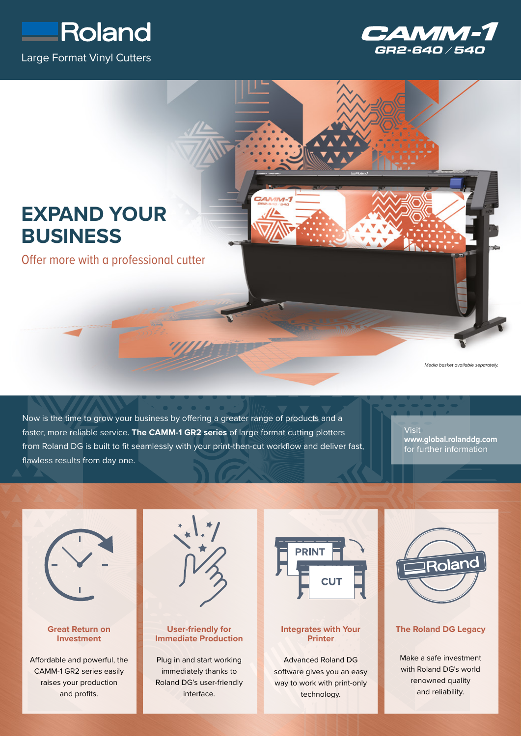





Now is the time to grow your business by offering a greater range of products and a faster, more reliable service. **The CAMM-1 GR2 series** of large format cutting plotters from Roland DG is built to fit seamlessly with your print-then-cut workflow and deliver fast, flawless results from day one.

**Visit www.global.rolanddg.com** for further information



## **Great Return on Investment**

Affordable and powerful, the CAMM-1 GR2 series easily raises your production and profits.



# **User-friendly for Immediate Production**

Plug in and start working immediately thanks to Roland DG's user-friendly interface.



## **Integrates with Your Printer**

Advanced Roland DG software gives you an easy way to work with print-only technology.



## **The Roland DG Legacy**

Make a safe investment with Roland DG's world renowned quality and reliability.